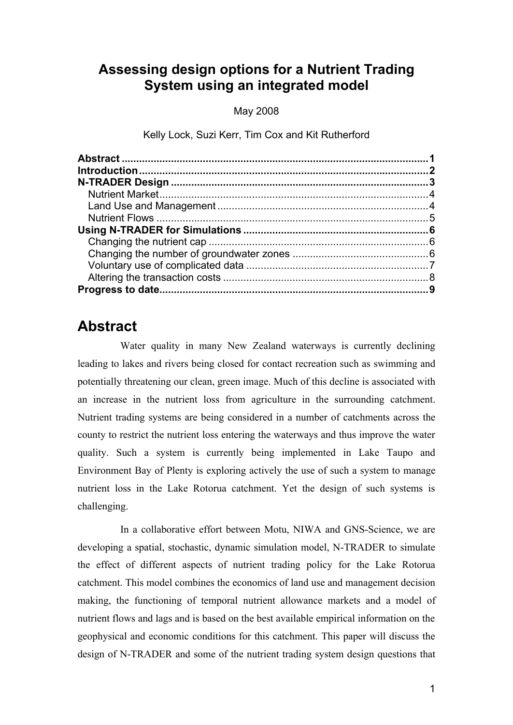### **Assessing design options for a Nutrient Trading System using an integrated model**

May 2008

Kelly Lock, Suzi Kerr, Tim Cox and Kit Rutherford

## **Abstract**

Water quality in many New Zealand waterways is currently declining leading to lakes and rivers being closed for contact recreation such as swimming and potentially threatening our clean, green image. Much of this decline is associated with an increase in the nutrient loss from agriculture in the surrounding catchment. Nutrient trading systems are being considered in a number of catchments across the county to restrict the nutrient loss entering the waterways and thus improve the water quality. Such a system is currently being implemented in Lake Taupo and Environment Bay of Plenty is exploring actively the use of such a system to manage nutrient loss in the Lake Rotorua catchment. Yet the design of such systems is challenging.

In a collaborative effort between Motu, NIWA and GNS-Science, we are developing a spatial, stochastic, dynamic simulation model, N-TRADER to simulate the effect of different aspects of nutrient trading policy for the Lake Rotorua catchment. This model combines the economics of land use and management decision making, the functioning of temporal nutrient allowance markets and a model of nutrient flows and lags and is based on the best available empirical information on the geophysical and economic conditions for this catchment. This paper will discuss the design of N-TRADER and some of the nutrient trading system design questions that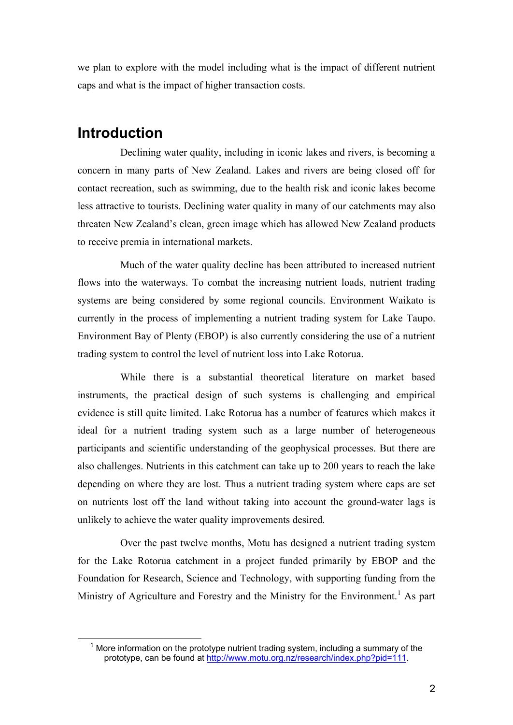we plan to explore with the model including what is the impact of different nutrient caps and what is the impact of higher transaction costs.

## **Introduction**

 $\overline{a}$ 

Declining water quality, including in iconic lakes and rivers, is becoming a concern in many parts of New Zealand. Lakes and rivers are being closed off for contact recreation, such as swimming, due to the health risk and iconic lakes become less attractive to tourists. Declining water quality in many of our catchments may also threaten New Zealand's clean, green image which has allowed New Zealand products to receive premia in international markets.

Much of the water quality decline has been attributed to increased nutrient flows into the waterways. To combat the increasing nutrient loads, nutrient trading systems are being considered by some regional councils. Environment Waikato is currently in the process of implementing a nutrient trading system for Lake Taupo. Environment Bay of Plenty (EBOP) is also currently considering the use of a nutrient trading system to control the level of nutrient loss into Lake Rotorua.

While there is a substantial theoretical literature on market based instruments, the practical design of such systems is challenging and empirical evidence is still quite limited. Lake Rotorua has a number of features which makes it ideal for a nutrient trading system such as a large number of heterogeneous participants and scientific understanding of the geophysical processes. But there are also challenges. Nutrients in this catchment can take up to 200 years to reach the lake depending on where they are lost. Thus a nutrient trading system where caps are set on nutrients lost off the land without taking into account the ground-water lags is unlikely to achieve the water quality improvements desired.

Over the past twelve months, Motu has designed a nutrient trading system for the Lake Rotorua catchment in a project funded primarily by EBOP and the Foundation for Research, Science and Technology, with supporting funding from the Ministry of Agriculture and Forestry and the Ministry for the Environment.<sup>1</sup> As part

 $1$  More information on the prototype nutrient trading system, including a summary of the prototype, can be found at http://www.motu.org.nz/research/index.php?pid=111.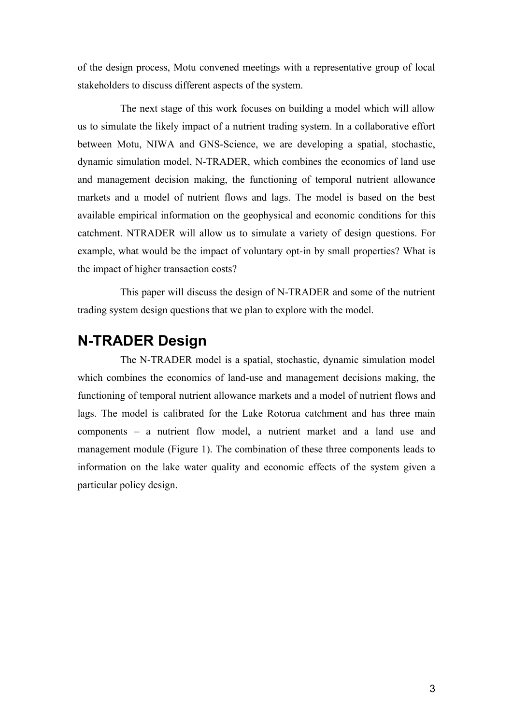of the design process, Motu convened meetings with a representative group of local stakeholders to discuss different aspects of the system.

The next stage of this work focuses on building a model which will allow us to simulate the likely impact of a nutrient trading system. In a collaborative effort between Motu, NIWA and GNS-Science, we are developing a spatial, stochastic, dynamic simulation model, N-TRADER, which combines the economics of land use and management decision making, the functioning of temporal nutrient allowance markets and a model of nutrient flows and lags. The model is based on the best available empirical information on the geophysical and economic conditions for this catchment. NTRADER will allow us to simulate a variety of design questions. For example, what would be the impact of voluntary opt-in by small properties? What is the impact of higher transaction costs?

This paper will discuss the design of N-TRADER and some of the nutrient trading system design questions that we plan to explore with the model.

### **N-TRADER Design**

The N-TRADER model is a spatial, stochastic, dynamic simulation model which combines the economics of land-use and management decisions making, the functioning of temporal nutrient allowance markets and a model of nutrient flows and lags. The model is calibrated for the Lake Rotorua catchment and has three main components – a nutrient flow model, a nutrient market and a land use and management module (Figure 1). The combination of these three components leads to information on the lake water quality and economic effects of the system given a particular policy design.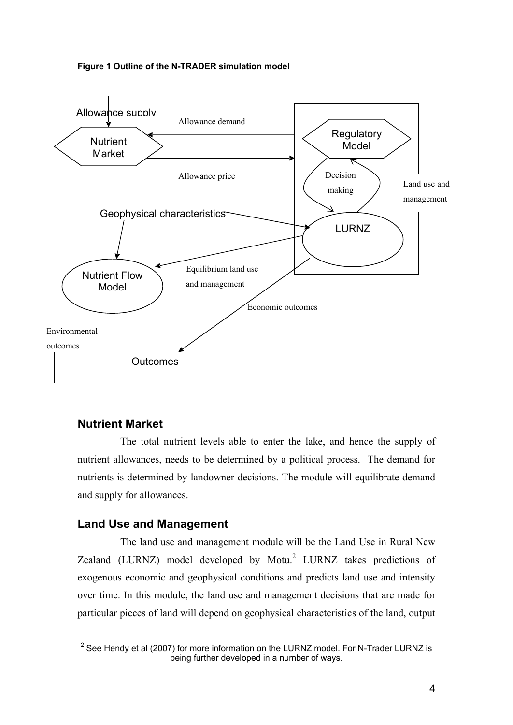#### **Figure 1 Outline of the N-TRADER simulation model**



#### **Nutrient Market**

The total nutrient levels able to enter the lake, and hence the supply of nutrient allowances, needs to be determined by a political process. The demand for nutrients is determined by landowner decisions. The module will equilibrate demand and supply for allowances.

#### **Land Use and Management**

The land use and management module will be the Land Use in Rural New Zealand (LURNZ) model developed by Motu.<sup>2</sup> LURNZ takes predictions of exogenous economic and geophysical conditions and predicts land use and intensity over time. In this module, the land use and management decisions that are made for particular pieces of land will depend on geophysical characteristics of the land, output

<sup>&</sup>lt;sup>2</sup> See Hendy et al (2007) for more information on the LURNZ model. For N-Trader LURNZ is being further developed in a number of ways.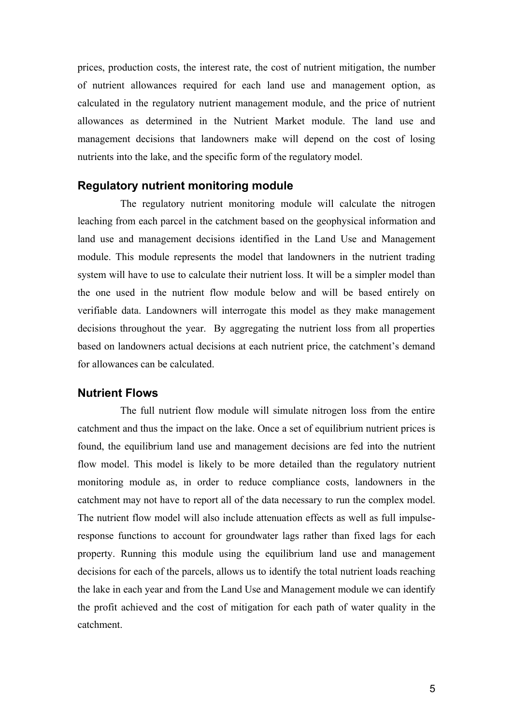prices, production costs, the interest rate, the cost of nutrient mitigation, the number of nutrient allowances required for each land use and management option, as calculated in the regulatory nutrient management module, and the price of nutrient allowances as determined in the Nutrient Market module. The land use and management decisions that landowners make will depend on the cost of losing nutrients into the lake, and the specific form of the regulatory model.

#### **Regulatory nutrient monitoring module**

The regulatory nutrient monitoring module will calculate the nitrogen leaching from each parcel in the catchment based on the geophysical information and land use and management decisions identified in the Land Use and Management module. This module represents the model that landowners in the nutrient trading system will have to use to calculate their nutrient loss. It will be a simpler model than the one used in the nutrient flow module below and will be based entirely on verifiable data. Landowners will interrogate this model as they make management decisions throughout the year. By aggregating the nutrient loss from all properties based on landowners actual decisions at each nutrient price, the catchment's demand for allowances can be calculated.

#### **Nutrient Flows**

The full nutrient flow module will simulate nitrogen loss from the entire catchment and thus the impact on the lake. Once a set of equilibrium nutrient prices is found, the equilibrium land use and management decisions are fed into the nutrient flow model. This model is likely to be more detailed than the regulatory nutrient monitoring module as, in order to reduce compliance costs, landowners in the catchment may not have to report all of the data necessary to run the complex model. The nutrient flow model will also include attenuation effects as well as full impulseresponse functions to account for groundwater lags rather than fixed lags for each property. Running this module using the equilibrium land use and management decisions for each of the parcels, allows us to identify the total nutrient loads reaching the lake in each year and from the Land Use and Management module we can identify the profit achieved and the cost of mitigation for each path of water quality in the catchment.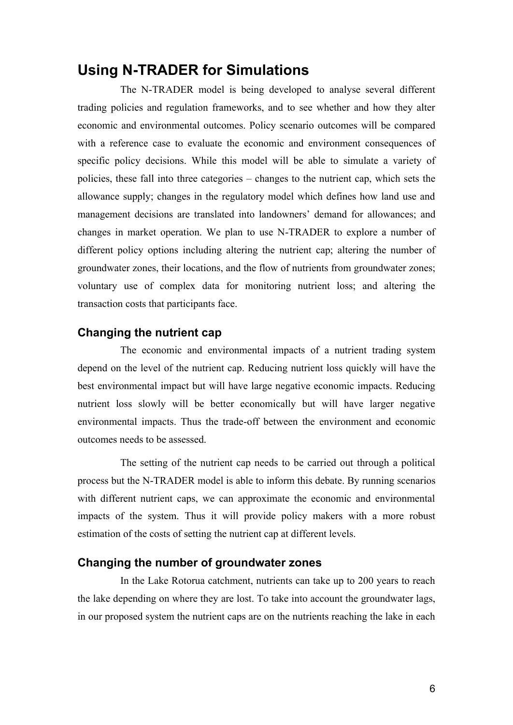### **Using N-TRADER for Simulations**

The N-TRADER model is being developed to analyse several different trading policies and regulation frameworks, and to see whether and how they alter economic and environmental outcomes. Policy scenario outcomes will be compared with a reference case to evaluate the economic and environment consequences of specific policy decisions. While this model will be able to simulate a variety of policies, these fall into three categories – changes to the nutrient cap, which sets the allowance supply; changes in the regulatory model which defines how land use and management decisions are translated into landowners' demand for allowances; and changes in market operation. We plan to use N-TRADER to explore a number of different policy options including altering the nutrient cap; altering the number of groundwater zones, their locations, and the flow of nutrients from groundwater zones; voluntary use of complex data for monitoring nutrient loss; and altering the transaction costs that participants face.

### **Changing the nutrient cap**

The economic and environmental impacts of a nutrient trading system depend on the level of the nutrient cap. Reducing nutrient loss quickly will have the best environmental impact but will have large negative economic impacts. Reducing nutrient loss slowly will be better economically but will have larger negative environmental impacts. Thus the trade-off between the environment and economic outcomes needs to be assessed.

The setting of the nutrient cap needs to be carried out through a political process but the N-TRADER model is able to inform this debate. By running scenarios with different nutrient caps, we can approximate the economic and environmental impacts of the system. Thus it will provide policy makers with a more robust estimation of the costs of setting the nutrient cap at different levels.

#### **Changing the number of groundwater zones**

In the Lake Rotorua catchment, nutrients can take up to 200 years to reach the lake depending on where they are lost. To take into account the groundwater lags, in our proposed system the nutrient caps are on the nutrients reaching the lake in each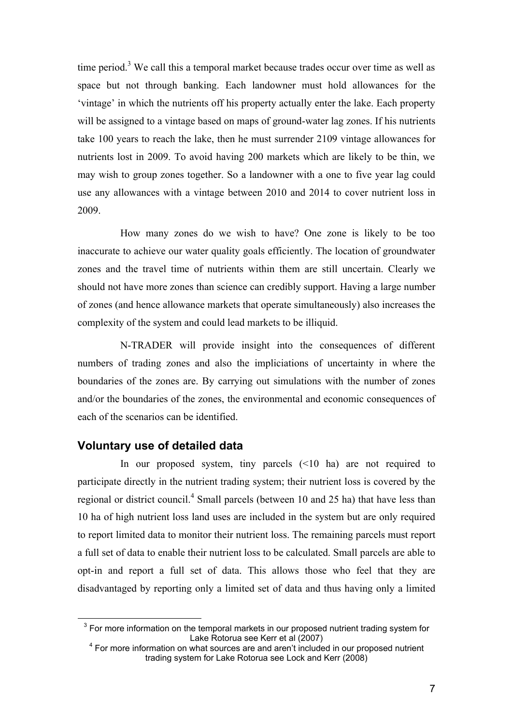time period.<sup>3</sup> We call this a temporal market because trades occur over time as well as space but not through banking. Each landowner must hold allowances for the 'vintage' in which the nutrients off his property actually enter the lake. Each property will be assigned to a vintage based on maps of ground-water lag zones. If his nutrients take 100 years to reach the lake, then he must surrender 2109 vintage allowances for nutrients lost in 2009. To avoid having 200 markets which are likely to be thin, we may wish to group zones together. So a landowner with a one to five year lag could use any allowances with a vintage between 2010 and 2014 to cover nutrient loss in 2009.

How many zones do we wish to have? One zone is likely to be too inaccurate to achieve our water quality goals efficiently. The location of groundwater zones and the travel time of nutrients within them are still uncertain. Clearly we should not have more zones than science can credibly support. Having a large number of zones (and hence allowance markets that operate simultaneously) also increases the complexity of the system and could lead markets to be illiquid.

N-TRADER will provide insight into the consequences of different numbers of trading zones and also the impliciations of uncertainty in where the boundaries of the zones are. By carrying out simulations with the number of zones and/or the boundaries of the zones, the environmental and economic consequences of each of the scenarios can be identified.

#### **Voluntary use of detailed data**

 $\overline{a}$ 

In our proposed system, tiny parcels (<10 ha) are not required to participate directly in the nutrient trading system; their nutrient loss is covered by the regional or district council.<sup>4</sup> Small parcels (between 10 and 25 ha) that have less than 10 ha of high nutrient loss land uses are included in the system but are only required to report limited data to monitor their nutrient loss. The remaining parcels must report a full set of data to enable their nutrient loss to be calculated. Small parcels are able to opt-in and report a full set of data. This allows those who feel that they are disadvantaged by reporting only a limited set of data and thus having only a limited

 $3$  For more information on the temporal markets in our proposed nutrient trading system for Lake Rotorua see Kerr et al (2007)

<sup>&</sup>lt;sup>4</sup> For more information on what sources are and aren't included in our proposed nutrient trading system for Lake Rotorua see Lock and Kerr (2008)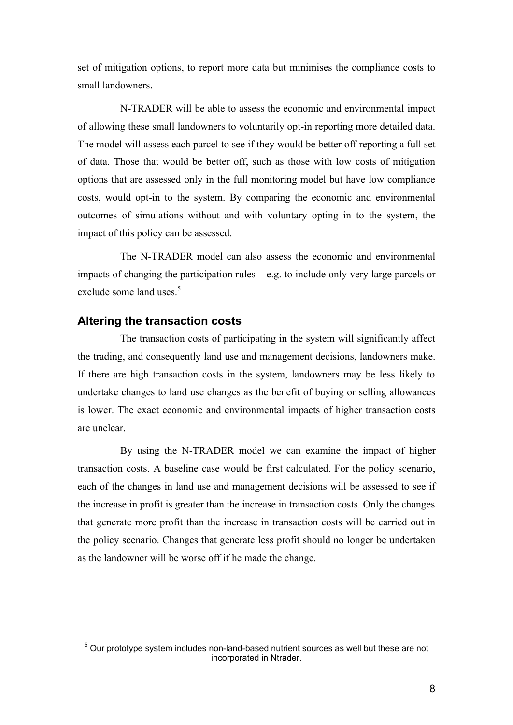set of mitigation options, to report more data but minimises the compliance costs to small landowners.

N-TRADER will be able to assess the economic and environmental impact of allowing these small landowners to voluntarily opt-in reporting more detailed data. The model will assess each parcel to see if they would be better off reporting a full set of data. Those that would be better off, such as those with low costs of mitigation options that are assessed only in the full monitoring model but have low compliance costs, would opt-in to the system. By comparing the economic and environmental outcomes of simulations without and with voluntary opting in to the system, the impact of this policy can be assessed.

The N-TRADER model can also assess the economic and environmental impacts of changing the participation rules – e.g. to include only very large parcels or exclude some land uses.<sup>5</sup>

#### **Altering the transaction costs**

 $\overline{a}$ 

The transaction costs of participating in the system will significantly affect the trading, and consequently land use and management decisions, landowners make. If there are high transaction costs in the system, landowners may be less likely to undertake changes to land use changes as the benefit of buying or selling allowances is lower. The exact economic and environmental impacts of higher transaction costs are unclear.

By using the N-TRADER model we can examine the impact of higher transaction costs. A baseline case would be first calculated. For the policy scenario, each of the changes in land use and management decisions will be assessed to see if the increase in profit is greater than the increase in transaction costs. Only the changes that generate more profit than the increase in transaction costs will be carried out in the policy scenario. Changes that generate less profit should no longer be undertaken as the landowner will be worse off if he made the change.

<sup>&</sup>lt;sup>5</sup> Our prototype system includes non-land-based nutrient sources as well but these are not incorporated in Ntrader.